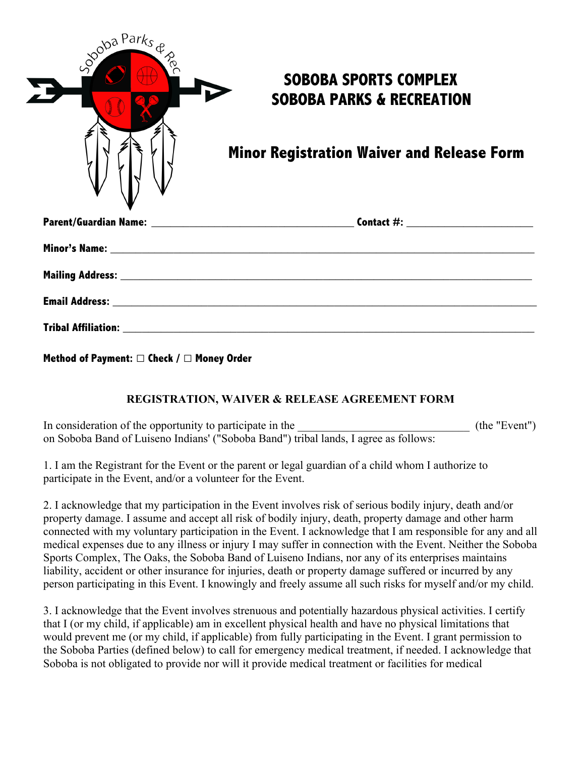| goba Parks & | <b>SOBOBA SPORTS COMPLEX</b><br><b>SOBOBA PARKS &amp; RECREATION</b> |
|--------------|----------------------------------------------------------------------|
|              | <b>Minor Registration Waiver and Release Form</b>                    |
|              |                                                                      |
|              |                                                                      |
|              |                                                                      |
|              |                                                                      |
|              |                                                                      |

**Method of Payment:** □ **Check /** □ **Money Order**

## **REGISTRATION, WAIVER & RELEASE AGREEMENT FORM**

In consideration of the opportunity to participate in the  $($ the "Event") on Soboba Band of Luiseno Indians' ("Soboba Band") tribal lands, I agree as follows:

1. I am the Registrant for the Event or the parent or legal guardian of a child whom I authorize to participate in the Event, and/or a volunteer for the Event.

2. I acknowledge that my participation in the Event involves risk of serious bodily injury, death and/or property damage. I assume and accept all risk of bodily injury, death, property damage and other harm connected with my voluntary participation in the Event. I acknowledge that I am responsible for any and all medical expenses due to any illness or injury I may suffer in connection with the Event. Neither the Soboba Sports Complex, The Oaks, the Soboba Band of Luiseno Indians, nor any of its enterprises maintains liability, accident or other insurance for injuries, death or property damage suffered or incurred by any person participating in this Event. I knowingly and freely assume all such risks for myself and/or my child.

3. I acknowledge that the Event involves strenuous and potentially hazardous physical activities. I certify that I (or my child, if applicable) am in excellent physical health and have no physical limitations that would prevent me (or my child, if applicable) from fully participating in the Event. I grant permission to the Soboba Parties (defined below) to call for emergency medical treatment, if needed. I acknowledge that Soboba is not obligated to provide nor will it provide medical treatment or facilities for medical